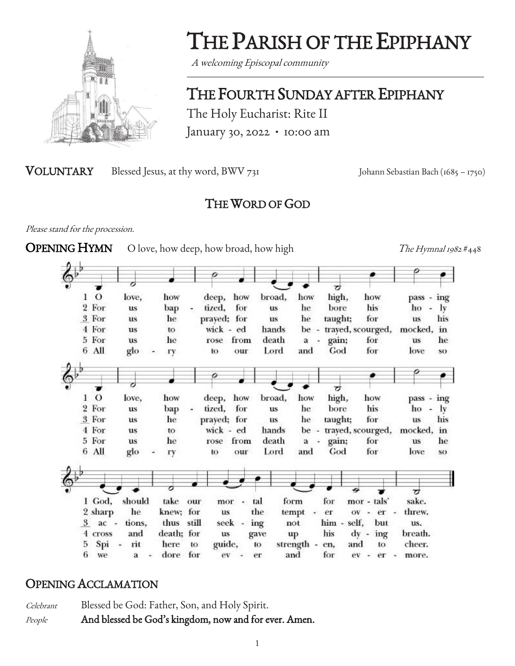

# THE PARISH OF THE EPIPHANY

A welcoming Episcopal community

# THE FOURTH SUNDAY AFTER EPIPHANY

 The Holy Eucharist: Rite II January 30, 2022 • 10:00 am

**VOLUNTARY** Blessed Jesus, at thy word, BWV 731 Johann Sebastian Bach (1685 – 1750)

### THE WORD OF GOD

#### Please stand for the procession.

**OPENING HYMN** O love, how deep, how broad, how high  $\frac{1}{2}$  The Hymnal 1982 #448

ಕ 70  $1<sub>0</sub>$ deep, how high, love. broad. how how how pass - ing 2 For tized, he bore his ho **us** bap for **us** ۰. ly 3 For us he prayed; for us he taught; for **us** his 4 For wick - ed hands be traved, scourged, mocked, in us to 5 For **us** he rose from death a. gain; for **us** he 6 All glo to. our Lord and God for love ry so ᆉ  $1\quad$ love, how deep, how broad, how high, how pass - ing 2 For his bap tized, for **us** he. bore ho ly us 3 For he taught; for us he prayed; for **us us** his trayed, scourged, 4 For wick - ed hands be mocked, in **us** to  $\overline{\phantom{a}}$ 5 For for **us** he rose from death ä ÿ gain; **us** he 6 All glo Lord and God for love to our so ry 77 1 God, should take our mor tal form for mor - tals' sake. 2 sharp he knew; for threw. **us** the tempt  $er$ ov  $-er$ thus still  $\mathbf{3}$  $ac$ tions, seek ing not him - self, but us. death: for breath. 4 cross and **us** gave his  $dy - ing$ up strength - en, 5 Spi rit here to guide, cheer. to and to 6 we a dore for ev er and for ev  $er$ more. ¥.

#### OPENING ACCLAMATION

Celebrant Blessed be God: Father, Son, and Holy Spirit. People **And blessed be God's kingdom, now and for ever. Amen.**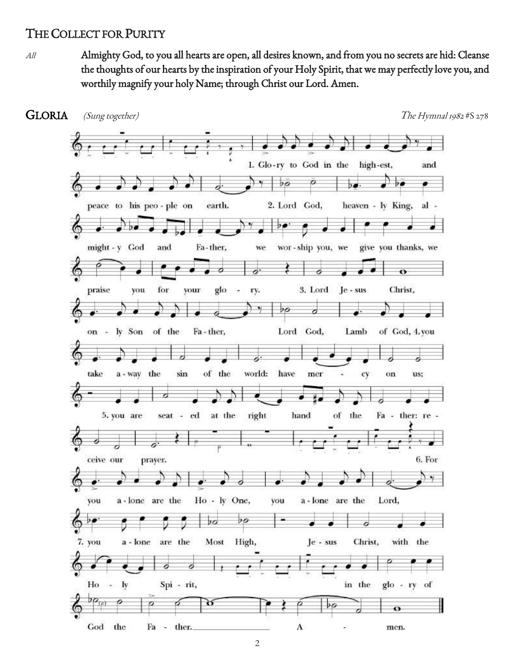#### THE COLLECT FOR PURITY

All Almighty God, to you all hearts are open, all desires known, and from you no secrets are hid: Cleanse the thoughts of our hearts by the inspiration of your Holy Spirit, that we may perfectly love you, and worthily magnify your holy Name; through Christ our Lord. Amen.

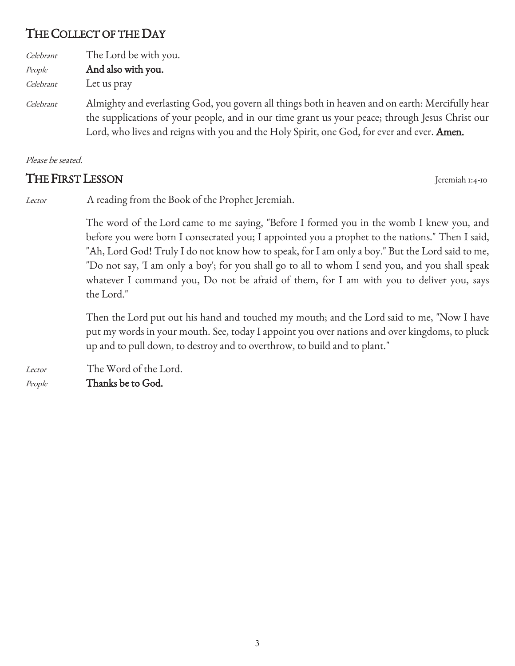### THE COLLECT OF THE DAY

Celebrant The Lord be with you.

People **And also with you.** 

Celebrant Let us pray

Celebrant Almighty and everlasting God, you govern all things both in heaven and on earth: Mercifully hear the supplications of your people, and in our time grant us your peace; through Jesus Christ our Lord, who lives and reigns with you and the Holy Spirit, one God, for ever and ever. **Amen.** 

Please be seated.

### THE FIRST LESSON Jeremiah 1:4-10

Lector A reading from the Book of the Prophet Jeremiah.

The word of the Lord came to me saying, "Before I formed you in the womb I knew you, and before you were born I consecrated you; I appointed you a prophet to the nations." Then I said, "Ah, Lord God! Truly I do not know how to speak, for I am only a boy." But the Lord said to me, "Do not say, 'I am only a boy'; for you shall go to all to whom I send you, and you shall speak whatever I command you, Do not be afraid of them, for I am with you to deliver you, says the Lord."

Then the Lord put out his hand and touched my mouth; and the Lord said to me, "Now I have put my words in your mouth. See, today I appoint you over nations and over kingdoms, to pluck up and to pull down, to destroy and to overthrow, to build and to plant."

Lector The Word of the Lord. People Thanks be to God.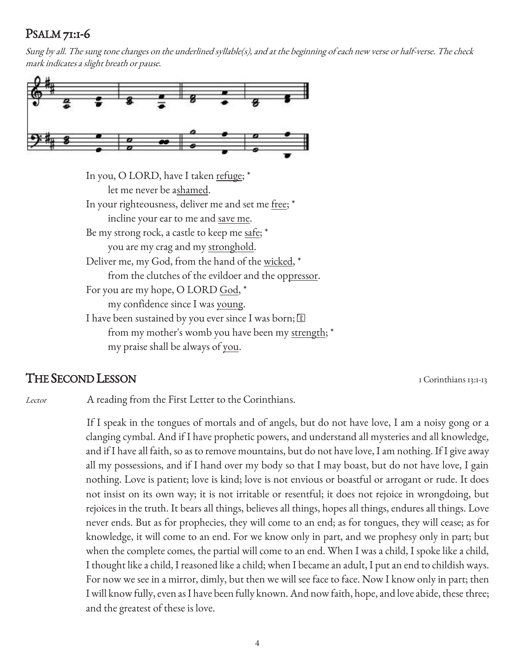### PSALM 71:1-6

Sung by all. The sung tone changes on the underlined syllable(s), and at the beginning of each new verse or half-verse. The check mark indicates a slight breath or pause.



In you, O LORD, have I taken refuge; \* let me never be ashamed. In your righteousness, deliver me and set me free; \* incline your ear to me and save me. Be my strong rock, a castle to keep me safe; \* you are my crag and my stronghold. Deliver me, my God, from the hand of the wicked, \* from the clutches of the evildoer and the oppressor. For you are my hope, O LORD God, \* my confidence since I was young. I have been sustained by you ever since I was born;  $\mathbb{R}$  from my mother's womb you have been my strength; \* my praise shall be always of you.

### THE SECOND LESSON THE SECOND LESSON

Lector A reading from the First Letter to the Corinthians.

If I speak in the tongues of mortals and of angels, but do not have love, I am a noisy gong or a clanging cymbal. And if I have prophetic powers, and understand all mysteries and all knowledge, and if I have all faith, so as to remove mountains, but do not have love, I am nothing. If I give away all my possessions, and if I hand over my body so that I may boast, but do not have love, I gain nothing. Love is patient; love is kind; love is not envious or boastful or arrogant or rude. It does not insist on its own way; it is not irritable or resentful; it does not rejoice in wrongdoing, but rejoices in the truth. It bears all things, believes all things, hopes all things, endures all things. Love never ends. But as for prophecies, they will come to an end; as for tongues, they will cease; as for knowledge, it will come to an end. For we know only in part, and we prophesy only in part; but when the complete comes, the partial will come to an end. When I was a child, I spoke like a child, I thought like a child, I reasoned like a child; when I became an adult, I put an end to childish ways. For now we see in a mirror, dimly, but then we will see face to face. Now I know only in part; then I will know fully, even as I have been fully known. And now faith, hope, and love abide, these three; and the greatest of these is love.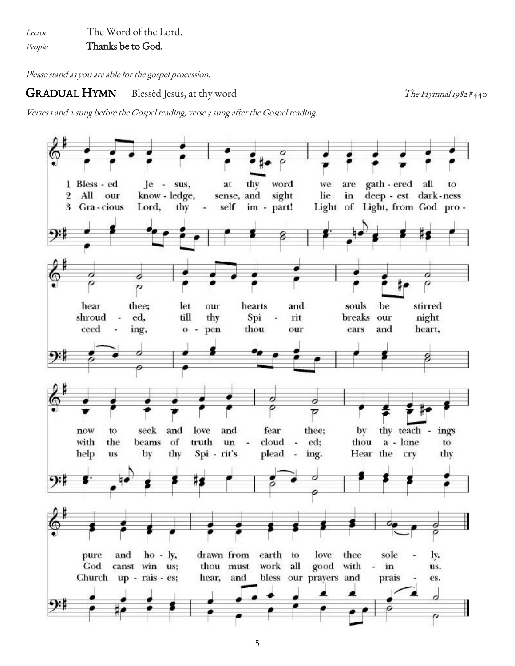Please stand as you are able for the gospel procession.

GRADUAL HYMN Blessèd Jesus, at thy word The Hymnal 1982 #440

Verses I and 2 sung before the Gospel reading, verse 3 sung after the Gospel reading.

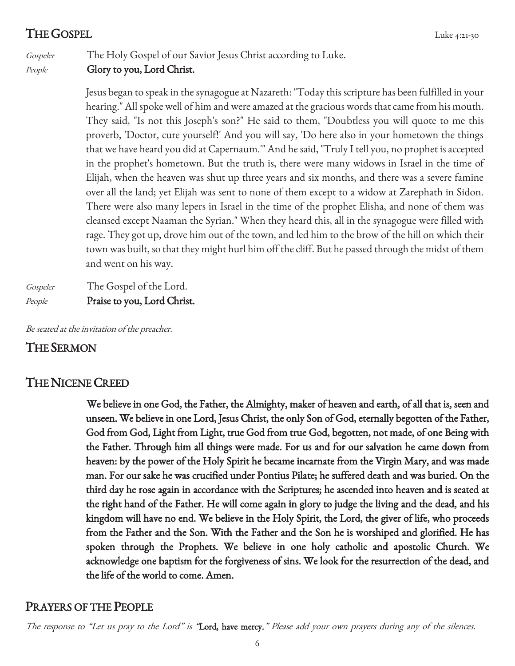### $\rm{THE\,GOSPEL}$  which consider the constant of the constant of the constant of the constant of the constant of the constant of the constant of the constant of the constant of the constant of the constant of the constant of

### Gospeler The Holy Gospel of our Savior Jesus Christ according to Luke.

### People Glory to you, Lord Christ.

Jesus began to speak in the synagogue at Nazareth: "Today this scripture has been fulfilled in your hearing." All spoke well of him and were amazed at the gracious words that came from his mouth. They said, "Is not this Joseph's son?" He said to them, "Doubtless you will quote to me this proverb, 'Doctor, cure yourself!' And you will say, 'Do here also in your hometown the things that we have heard you did at Capernaum.'" And he said, "Truly I tell you, no prophet is accepted in the prophet's hometown. But the truth is, there were many widows in Israel in the time of Elijah, when the heaven was shut up three years and six months, and there was a severe famine over all the land; yet Elijah was sent to none of them except to a widow at Zarephath in Sidon. There were also many lepers in Israel in the time of the prophet Elisha, and none of them was cleansed except Naaman the Syrian." When they heard this, all in the synagogue were filled with rage. They got up, drove him out of the town, and led him to the brow of the hill on which their town was built, so that they might hurl him off the cliff. But he passed through the midst of them and went on his way.

Gospeler The Gospel of the Lord. People Praise to you, Lord Christ.

Be seated at the invitation of the preacher.

### THE SERMON

### THE NICENE CREED

We believe in one God, the Father, the Almighty, maker of heaven and earth, of all that is, seen and unseen. We believe in one Lord, Jesus Christ, the only Son of God, eternally begotten of the Father, God from God, Light from Light, true God from true God, begotten, not made, of one Being with the Father. Through him all things were made. For us and for our salvation he came down from heaven: by the power of the Holy Spirit he became incarnate from the Virgin Mary, and was made man. For our sake he was crucified under Pontius Pilate; he suffered death and was buried. On the third day he rose again in accordance with the Scriptures; he ascended into heaven and is seated at the right hand of the Father. He will come again in glory to judge the living and the dead, and his kingdom will have no end. We believe in the Holy Spirit, the Lord, the giver of life, who proceeds from the Father and the Son. With the Father and the Son he is worshiped and glorified. He has spoken through the Prophets. We believe in one holy catholic and apostolic Church. We acknowledge one baptism for the forgiveness of sins. We look for the resurrection of the dead, and the life of the world to come. Amen.

### PRAYERS OF THE PEOPLE

The response to "Let us pray to the Lord" is "Lord, have mercy." Please add your own prayers during any of the silences.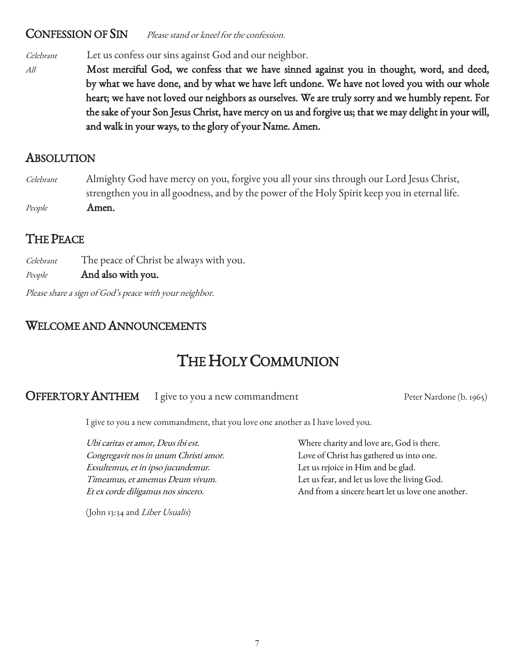#### CONFESSION OF SIN Please stand or kneel for the confession.

Celebrant Let us confess our sins against God and our neighbor.

All Most merciful God, we confess that we have sinned against you in thought, word, and deed, by what we have done, and by what we have left undone. We have not loved you with our whole heart; we have not loved our neighbors as ourselves. We are truly sorry and we humbly repent. For the sake of your Son Jesus Christ, have mercy on us and forgive us; that we may delight in your will, and walk in your ways, to the glory of your Name. Amen.

#### ABSOLUTION

Celebrant Almighty God have mercy on you, forgive you all your sins through our Lord Jesus Christ, strengthen you in all goodness, and by the power of the Holy Spirit keep you in eternal life. People **Amen.** 

### THE PEACE

Celebrant The peace of Christ be always with you. People **And also with you.** 

Please share a sign of God's peace with your neighbor.

### WELCOME AND ANNOUNCEMENTS

# THE HOLY COMMUNION

#### $\mathbf{OFFERTORY}$   $\mathbf{ANTHEM}$  I give to you a new commandment  $\qquad \qquad \qquad \text{Peter Nardone (b. 1965)}$

I give to you a new commandment, that you love one another as I have loved you.

| Ubi caritas et amor, Deus ibi est.    | Where charity and love are, God is there.         |
|---------------------------------------|---------------------------------------------------|
| Congregavit nos in unum Christi amor. | Love of Christ has gathered us into one.          |
| Exsultemus, et in ipso jucundemur.    | Let us rejoice in Him and be glad.                |
| Timeamus, et amemus Deum vivum.       | Let us fear, and let us love the living God.      |
| Et ex corde diligamus nos sincero.    | And from a sincere heart let us love one another. |

(John 13:34 and Liber Usualis)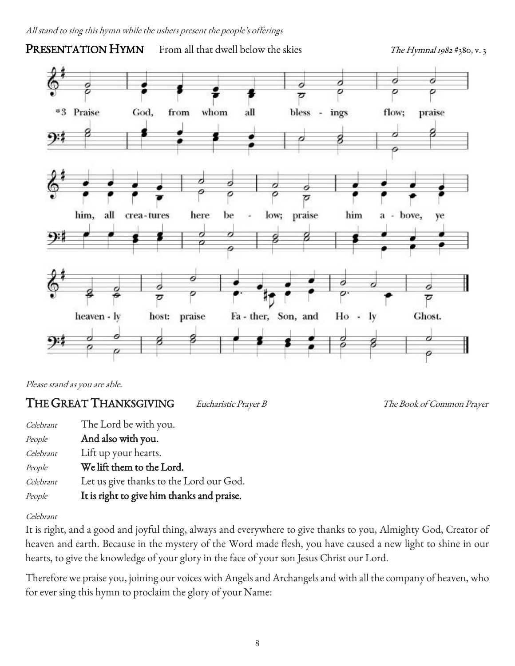

Please stand as you are able.

### THE GREAT THANKSGIVING Eucharistic Prayer B The Book of Common Prayer

| Celebrant | The Lord be with you.                      |
|-----------|--------------------------------------------|
| People    | And also with you.                         |
| Celebrant | Lift up your hearts.                       |
| People    | We lift them to the Lord.                  |
| Celebrant | Let us give thanks to the Lord our God.    |
| People    | It is right to give him thanks and praise. |

#### Celebrant

It is right, and a good and joyful thing, always and everywhere to give thanks to you, Almighty God, Creator of heaven and earth. Because in the mystery of the Word made flesh, you have caused a new light to shine in our hearts, to give the knowledge of your glory in the face of your son Jesus Christ our Lord.

Therefore we praise you, joining our voices with Angels and Archangels and with all the company of heaven, who for ever sing this hymn to proclaim the glory of your Name: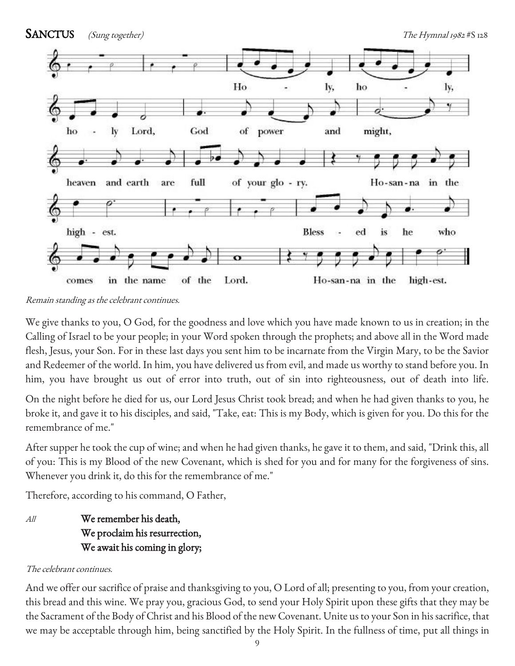

Remain standing as the celebrant continues.

We give thanks to you, O God, for the goodness and love which you have made known to us in creation; in the Calling of Israel to be your people; in your Word spoken through the prophets; and above all in the Word made flesh, Jesus, your Son. For in these last days you sent him to be incarnate from the Virgin Mary, to be the Savior and Redeemer of the world. In him, you have delivered us from evil, and made us worthy to stand before you. In him, you have brought us out of error into truth, out of sin into righteousness, out of death into life.

On the night before he died for us, our Lord Jesus Christ took bread; and when he had given thanks to you, he broke it, and gave it to his disciples, and said, "Take, eat: This is my Body, which is given for you. Do this for the remembrance of me."

After supper he took the cup of wine; and when he had given thanks, he gave it to them, and said, "Drink this, all of you: This is my Blood of the new Covenant, which is shed for you and for many for the forgiveness of sins. Whenever you drink it, do this for the remembrance of me."

Therefore, according to his command, O Father,

All We remember his death, We proclaim his resurrection, We await his coming in glory;

#### The celebrant continues.

And we offer our sacrifice of praise and thanksgiving to you, O Lord of all; presenting to you, from your creation, this bread and this wine. We pray you, gracious God, to send your Holy Spirit upon these gifts that they may be the Sacrament of the Body of Christ and his Blood of the new Covenant. Unite us to your Son in his sacrifice, that we may be acceptable through him, being sanctified by the Holy Spirit. In the fullness of time, put all things in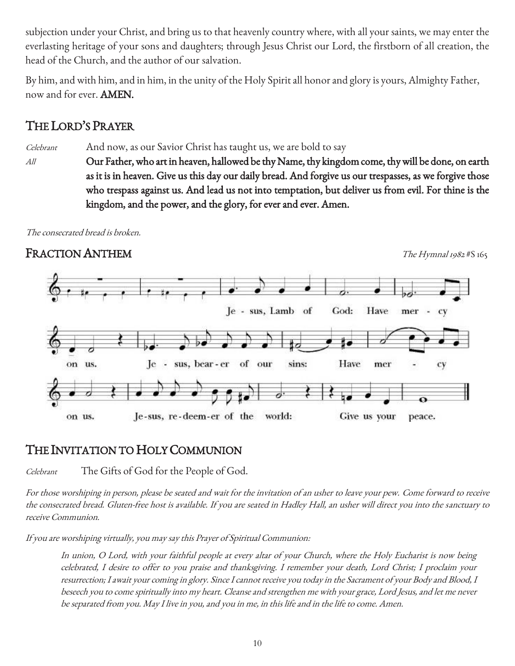subjection under your Christ, and bring us to that heavenly country where, with all your saints, we may enter the everlasting heritage of your sons and daughters; through Jesus Christ our Lord, the firstborn of all creation, the head of the Church, and the author of our salvation.

By him, and with him, and in him, in the unity of the Holy Spirit all honor and glory is yours, Almighty Father, now and for ever. AMEN.

### THE LORD'S PRAYER

Celebrant And now, as our Savior Christ has taught us, we are bold to say

 $A$ ll  $O$ ur Father, who art in heaven, hallowed be thy Name, thy kingdom come, thy will be done, on earth as it is in heaven. Give us this day our daily bread. And forgive us our trespasses, as we forgive those who trespass against us. And lead us not into temptation, but deliver us from evil. For thine is the kingdom, and the power, and the glory, for ever and ever. Amen.

The consecrated bread is broken.

### **FRACTION ANTHEM** The Hymnal 1982 #S 165



### THE INVITATION TO HOLY COMMUNION

Celebrant The Gifts of God for the People of God.

For those worshiping in person, please be seated and wait for the invitation of an usher to leave your pew. Come forward to receive the consecrated bread. Gluten-free host is available. If you are seated in Hadley Hall, an usher will direct you into the sanctuary to receive Communion.

If you are worshiping virtually, you may say this Prayer of Spiritual Communion:

In union, O Lord, with your faithful people at every altar of your Church, where the Holy Eucharist is now being celebrated, I desire to offer to you praise and thanksgiving. I remember your death, Lord Christ; I proclaim your resurrection; I await your coming in glory. Since I cannot receive you today in the Sacrament of your Body and Blood, I beseech you to come spiritually into my heart. Cleanse and strengthen me with your grace, Lord Jesus, and let me never be separated from you. May I live in you, and you in me, in this life and in the life to come. Amen.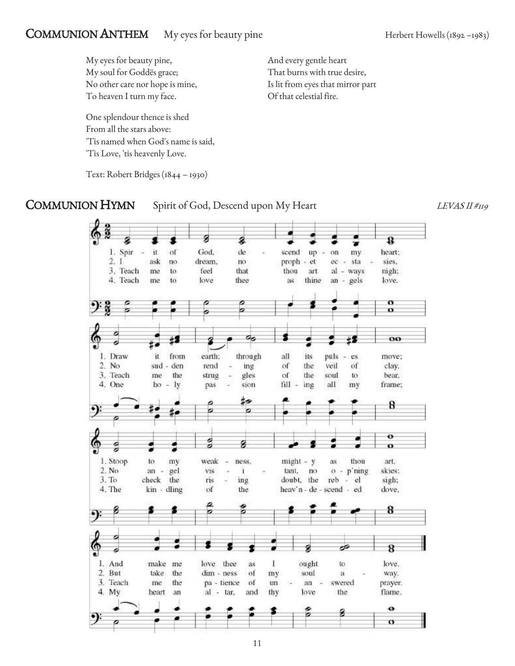My eyes for beauty pine, https://www.and.every.gentle.heart My soul for Goddës grace; That burns with true desire, No other care nor hope is mine, Is lit from eyes that mirror part To heaven I turn my face.  $\qquad \qquad$  Of that celestial fire.

One splendour thence is shed From all the stars above: 'Tis named when God's name is said, 'Tis Love, 'tis heavenly Love.

Text: Robert Bridges (1844 – 1930)

**COMMUNION HYMN** Spirit of God, Descend upon My Heart LEVAS II #119

8 ø 1. Spir it of God. de. heart: scend  $up =$ on my  $2.1$ ask dream. no. proph - et sies. no ec sta 3. Teach feel that thou al nigh; me to art - ways 4. Teach me to love thee as. thine an - gels love.  $\Omega$ o ø  $\mathbf o$ n ۵o oo 1. Draw from earth: through all its puls move: it  $-$  es 2. No - den rend of the veil clay. sud ing of 3. Teach me the strug gles of the soul bear. to 4. One bo ly pas sion fill S ing all my frame; S. ‡≁ Ò 8 € ø o 6 g S 1. Stoop to my weak ness. might - y as, thou art.  $\sim$ 2. No an gel vis tant. no  $o - p'$ ning skies:  $\overline{\mathcal{C}}$ ī ×,  $3.7<sub>o</sub>$ check the ris ing doubt, the reb - el sigh; ¥ 4. The kin - dling of the heav'n - de - scend - ed dove, 2 S 8 ø ó  $\mathbf{R}$ 1. And make me love thee as  $\bf{I}$ ought to love. 2. But take the soul dim - ness of my a way. 3. Teach the me pa - tience of  $un$ an swered prayer. × 4. My heart an al - tar, and thy love the flame.  $\ddot{\mathbf{e}}$ g g  $\sigma$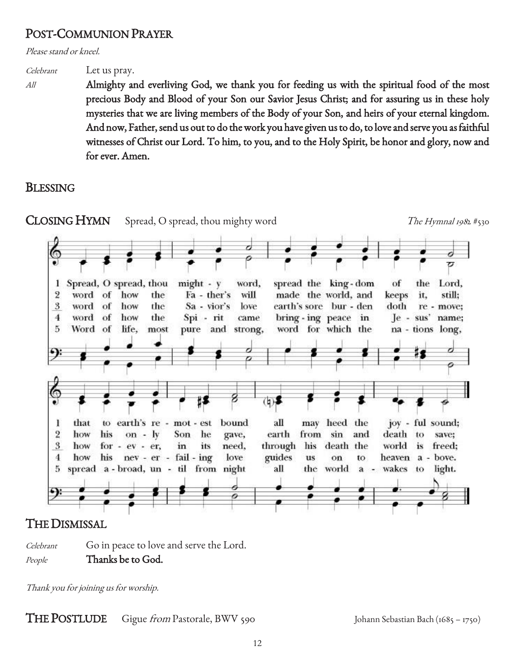### POST-COMMUNION PRAYER

Please stand or kneel.

#### Celebrant Let us pray.

 $A$ ll  $A$ ll  $A$ lmighty and everliving God, we thank you for feeding us with the spiritual food of the most precious Body and Blood of your Son our Savior Jesus Christ; and for assuring us in these holy mysteries that we are living members of the Body of your Son, and heirs of your eternal kingdom. And now, Father, send us out to do the work you have given us to do, to love and serve you as faithful witnesses of Christ our Lord. To him, to you, and to the Holy Spirit, be honor and glory, now and for ever. Amen.

### BLESSING



### THE DISMISSAL

Celebrant Go in peace to love and serve the Lord. People Thanks be to God.

Thank you for joining us for worship.

THE POSTLUDE Gigue *from* Pastorale, BWV 590 Johann Sebastian Bach (1685 – 1750)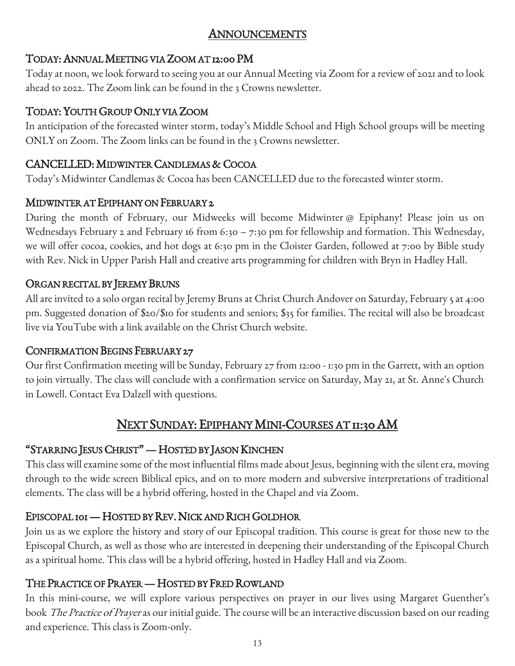### ANNOUNCEMENTS

### TODAY: ANNUAL MEETING VIA ZOOM AT 12:00 PM

Today at noon, we look forward to seeing you at our Annual Meeting via Zoom for a review of 2021 and to look ahead to 2022. The Zoom link can be found in the 3 Crowns newsletter.

### TODAY: YOUTH GROUP ONLY VIA ZOOM

In anticipation of the forecasted winter storm, today's Middle School and High School groups will be meeting ONLY on Zoom. The Zoom links can be found in the 3 Crowns newsletter.

### CANCELLED: MIDWINTER CANDLEMAS & COCOA

Today's Midwinter Candlemas & Cocoa has been CANCELLED due to the forecasted winter storm.

### MIDWINTER AT EPIPHANY ON FEBRUARY 2

During the month of February, our Midweeks will become Midwinter @ Epiphany! Please join us on Wednesdays February 2 and February 16 from 6:30 – 7:30 pm for fellowship and formation. This Wednesday, we will offer cocoa, cookies, and hot dogs at 6:30 pm in the Cloister Garden, followed at 7:00 by Bible study with Rev. Nick in Upper Parish Hall and creative arts programming for children with Bryn in Hadley Hall.

### ORGAN RECITAL BY JEREMY BRUNS

All are invited to a solo organ recital by Jeremy Bruns at Christ Church Andover on Saturday, February 5 at 4:00 pm. Suggested donation of \$20/\$10 for students and seniors; \$35 for families. The recital will also be broadcast live via YouTube with a link available on the Christ Church website.

### CONFIRMATION BEGINS FEBRUARY 27

Our first Confirmation meeting will be Sunday, February 27 from 12:00 - 1:30 pm in the Garrett, with an option to join virtually. The class will conclude with a confirmation service on Saturday, May 21, at St. Anne's Church in Lowell. Contact Eva Dalzell with questions.

## NEXT SUNDAY: EPIPHANY MINI-COURSES AT 11:30 AM

### "STARRING JESUS CHRIST" — HOSTED BY JASON KINCHEN

This class will examine some of the most influential films made about Jesus, beginning with the silent era, moving through to the wide screen Biblical epics, and on to more modern and subversive interpretations of traditional elements. The class will be a hybrid offering, hosted in the Chapel and via Zoom.

### EPISCOPAL 101 — HOSTED BY REV. NICK AND RICH GOLDHOR

Join us as we explore the history and story of our Episcopal tradition. This course is great for those new to the Episcopal Church, as well as those who are interested in deepening their understanding of the Episcopal Church as a spiritual home. This class will be a hybrid offering, hosted in Hadley Hall and via Zoom.

### THE PRACTICE OF PRAYER — HOSTED BY FRED ROWLAND

In this mini-course, we will explore various perspectives on prayer in our lives using Margaret Guenther's book The Practice of Prayer as our initial guide. The course will be an interactive discussion based on our reading and experience. This class is Zoom-only.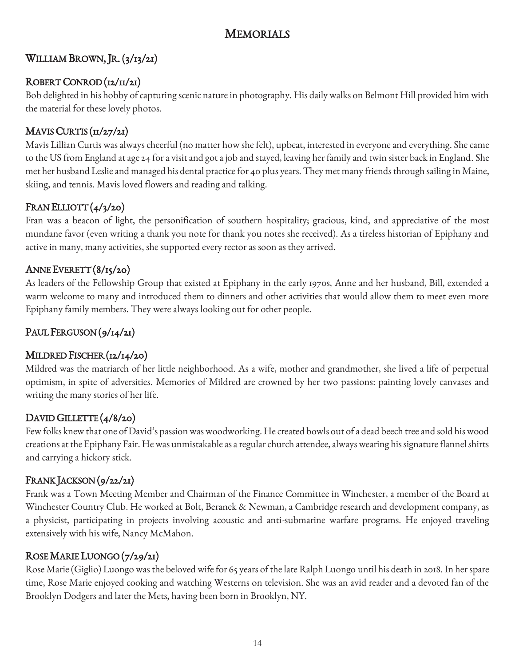### **MEMORIALS**

### WILLIAM BROWN, JR. (3/13/21)

### ROBERT CONROD (12/11/21)

Bob delighted in his hobby of capturing scenic nature in photography. His daily walks on Belmont Hill provided him with the material for these lovely photos.

### MAVIS CURTIS  $(11/27/21)$

Mavis Lillian Curtis was always cheerful (no matter how she felt), upbeat, interested in everyone and everything. She came to the US from England at age 24 for a visit and got a job and stayed, leaving her family and twin sister back in England. She met her husband Leslie and managed his dental practice for 40 plus years. They met many friends through sailing in Maine, skiing, and tennis. Mavis loved flowers and reading and talking.

### FRAN ELLIOTT (4/3/20)

Fran was a beacon of light, the personification of southern hospitality; gracious, kind, and appreciative of the most mundane favor (even writing a thank you note for thank you notes she received). As a tireless historian of Epiphany and active in many, many activities, she supported every rector as soon as they arrived.

### ANNE EVERETT (8/15/20)

As leaders of the Fellowship Group that existed at Epiphany in the early 1970s, Anne and her husband, Bill, extended a warm welcome to many and introduced them to dinners and other activities that would allow them to meet even more Epiphany family members. They were always looking out for other people.

### PAUL FERGUSON (9/14/21)

### MILDRED FISCHER (12/14/20)

Mildred was the matriarch of her little neighborhood. As a wife, mother and grandmother, she lived a life of perpetual optimism, in spite of adversities. Memories of Mildred are crowned by her two passions: painting lovely canvases and writing the many stories of her life.

### DAVID GILLETTE (4/8/20)

Few folks knew that one of David's passion was woodworking. He created bowls out of a dead beech tree and sold his wood creations at the Epiphany Fair. He was unmistakable as a regular church attendee, always wearing his signature flannel shirts and carrying a hickory stick.

### FRANK JACKSON (9/22/21)

Frank was a Town Meeting Member and Chairman of the Finance Committee in Winchester, a member of the Board at Winchester Country Club. He worked at Bolt, Beranek & Newman, a Cambridge research and development company, as a physicist, participating in projects involving acoustic and anti-submarine warfare programs. He enjoyed traveling extensively with his wife, Nancy McMahon.

### ROSE MARIE LUONGO (7/29/21)

Rose Marie (Giglio) Luongo was the beloved wife for 65 years of the late Ralph Luongo until his death in 2018. In her spare time, Rose Marie enjoyed cooking and watching Westerns on television. She was an avid reader and a devoted fan of the Brooklyn Dodgers and later the Mets, having been born in Brooklyn, NY.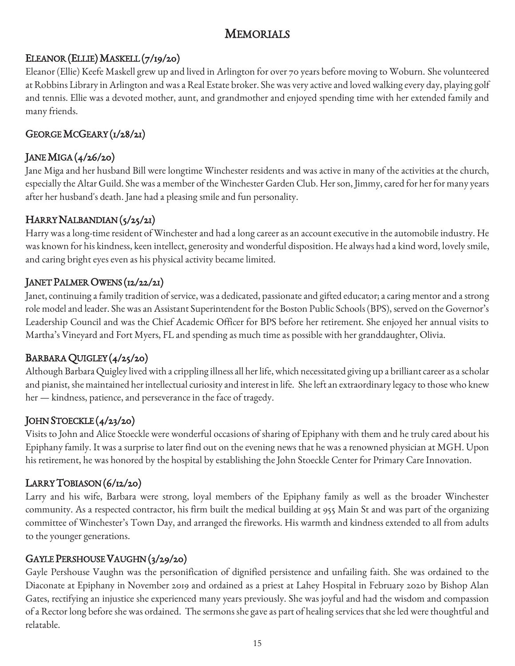### **MEMORIALS**

### ELEANOR (ELLIE) MASKELL (7/19/20)

Eleanor (Ellie) Keefe Maskell grew up and lived in Arlington for over 70 years before moving to Woburn. She volunteered at Robbins Library in Arlington and was a Real Estate broker. She was very active and loved walking every day, playing golf and tennis. Ellie was a devoted mother, aunt, and grandmother and enjoyed spending time with her extended family and many friends.

#### GEORGE MCGEARY (1/28/21)

### JANE MIGA (4/26/20)

Jane Miga and her husband Bill were longtime Winchester residents and was active in many of the activities at the church, especially the Altar Guild. She was a member of the Winchester Garden Club. Her son, Jimmy, cared for her for many years after her husband's death. Jane had a pleasing smile and fun personality.

### HARRY NALBANDIAN (5/25/21)

Harry was a long-time resident of Winchester and had a long career as an account executive in the automobile industry. He was known for his kindness, keen intellect, generosity and wonderful disposition. He always had a kind word, lovely smile, and caring bright eyes even as his physical activity became limited.

#### JANET PALMER OWENS (12/22/21)

Janet, continuing a family tradition of service, was a dedicated, passionate and gifted educator; a caring mentor and a strong role model and leader. She was an Assistant Superintendent for the Boston Public Schools (BPS), served on the Governor's Leadership Council and was the Chief Academic Officer for BPS before her retirement. She enjoyed her annual visits to Martha's Vineyard and Fort Myers, FL and spending as much time as possible with her granddaughter, Olivia.

#### BARBARA QUIGLEY (4/25/20)

Although Barbara Quigley lived with a crippling illness all her life, which necessitated giving up a brilliant career as a scholar and pianist, she maintained her intellectual curiosity and interest in life. She left an extraordinary legacy to those who knew her — kindness, patience, and perseverance in the face of tragedy.

### JOHN STOECKLE (4/23/20)

Visits to John and Alice Stoeckle were wonderful occasions of sharing of Epiphany with them and he truly cared about his Epiphany family. It was a surprise to later find out on the evening news that he was a renowned physician at MGH. Upon his retirement, he was honored by the hospital by establishing the John Stoeckle Center for Primary Care Innovation.

#### LARRY TOBIASON (6/12/20)

Larry and his wife, Barbara were strong, loyal members of the Epiphany family as well as the broader Winchester community. As a respected contractor, his firm built the medical building at 955 Main St and was part of the organizing committee of Winchester's Town Day, and arranged the fireworks. His warmth and kindness extended to all from adults to the younger generations.

#### GAYLE PERSHOUSE VAUGHN (3/29/20)

Gayle Pershouse Vaughn was the personification of dignified persistence and unfailing faith. She was ordained to the Diaconate at Epiphany in November 2019 and ordained as a priest at Lahey Hospital in February 2020 by Bishop Alan Gates, rectifying an injustice she experienced many years previously. She was joyful and had the wisdom and compassion of a Rector long before she was ordained. The sermons she gave as part of healing services that she led were thoughtful and relatable.